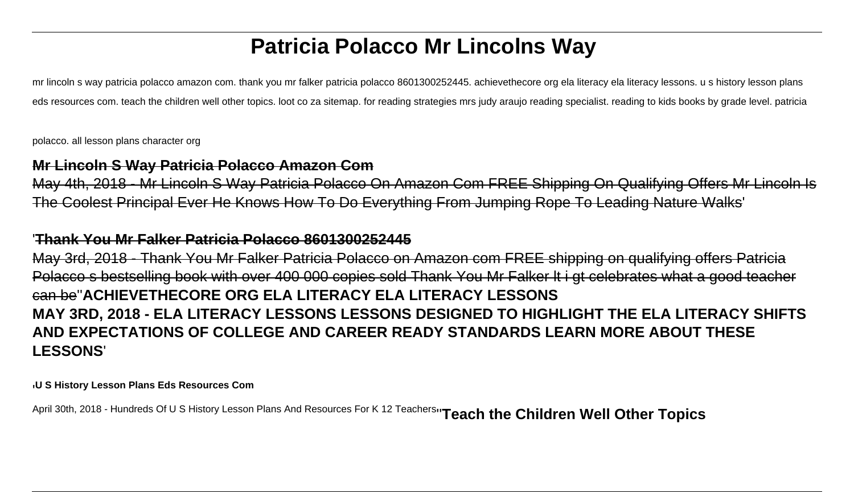# **Patricia Polacco Mr Lincolns Way**

mr lincoln s way patricia polacco amazon com. thank you mr falker patricia polacco 8601300252445. achievethecore org ela literacy ela literacy lessons. u s history lesson plans eds resources com. teach the children well other topics. loot co za sitemap. for reading strategies mrs judy araujo reading specialist. reading to kids books by grade level. patricia

polacco. all lesson plans character org

# **Mr Lincoln S Way Patricia Polacco Amazon Com**

May 4th, 2018 - Mr Lincoln S Way Patricia Polacco On Amazon Com FREE Shipping On Qualifying Offers Mr Lincoln Is The Coolest Principal Ever He Knows How To Do Everything From Jumping Rope To Leading Nature Walks'

# '**Thank You Mr Falker Patricia Polacco 8601300252445**

May 3rd, 2018 - Thank You Mr Falker Patricia Polacco on Amazon com FREE shipping on qualifying offers Patricia Polacco s bestselling book with over 400 000 copies sold Thank You Mr Falker lt i gt celebrates what a good teacher can be''**ACHIEVETHECORE ORG ELA LITERACY ELA LITERACY LESSONS MAY 3RD, 2018 - ELA LITERACY LESSONS LESSONS DESIGNED TO HIGHLIGHT THE ELA LITERACY SHIFTS AND EXPECTATIONS OF COLLEGE AND CAREER READY STANDARDS LEARN MORE ABOUT THESE LESSONS**'

'**U S History Lesson Plans Eds Resources Com**

April 30th, 2018 - Hundreds Of U S History Lesson Plans And Resources For K 12 Teachers''**Teach the Children Well Other Topics**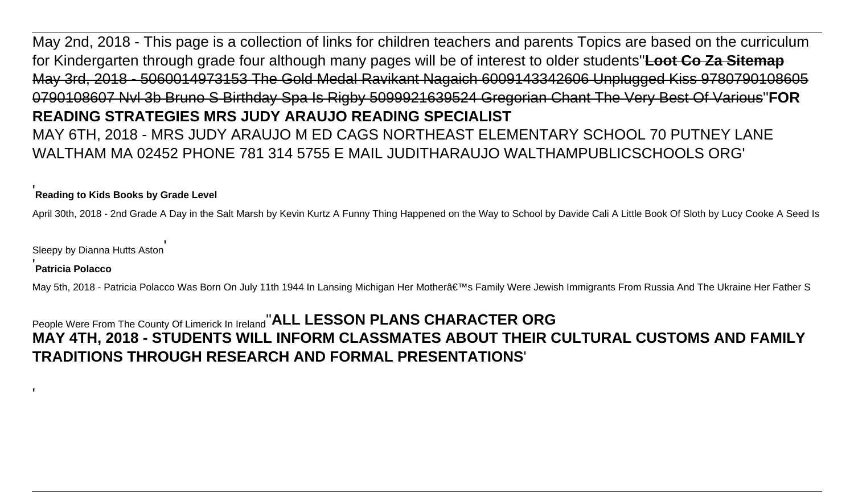May 2nd, 2018 - This page is a collection of links for children teachers and parents Topics are based on the curriculum for Kindergarten through grade four although many pages will be of interest to older students''**Loot Co Za Sitemap** May 3rd, 2018 - 5060014973153 The Gold Medal Ravikant Nagaich 6009143342606 Unplugged Kiss 9780790108605 0790108607 Nvl 3b Bruno S Birthday Spa Is Rigby 5099921639524 Gregorian Chant The Very Best Of Various''**FOR READING STRATEGIES MRS JUDY ARAUJO READING SPECIALIST** MAY 6TH, 2018 - MRS JUDY ARAUJO M ED CAGS NORTHEAST ELEMENTARY SCHOOL 70 PUTNEY LANE WALTHAM MA 02452 PHONE 781 314 5755 E MAIL JUDITHARAUJO WALTHAMPUBLICSCHOOLS ORG'

# '**Reading to Kids Books by Grade Level**

April 30th, 2018 - 2nd Grade A Day in the Salt Marsh by Kevin Kurtz A Funny Thing Happened on the Way to School by Davide Cali A Little Book Of Sloth by Lucy Cooke A Seed Is

Sleepy by Dianna Hutts Aston'

#### '**Patricia Polacco**

'

May 5th, 2018 - Patricia Polacco Was Born On July 11th 1944 In Lansing Michigan Her Mother's Family Were Jewish Immigrants From Russia And The Ukraine Her Father S

People Were From The County Of Limerick In Ireland''**ALL LESSON PLANS CHARACTER ORG MAY 4TH, 2018 - STUDENTS WILL INFORM CLASSMATES ABOUT THEIR CULTURAL CUSTOMS AND FAMILY TRADITIONS THROUGH RESEARCH AND FORMAL PRESENTATIONS**'